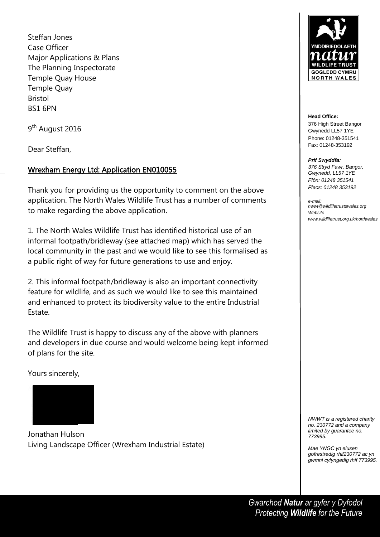Steffan Jones Case Officer Major Applications & Plans The Planning Inspectorate Temple Quay House Temple Quay Bristol BS1 6PN

9<sup>th</sup> August 2016

Dear Steffan,

## Wrexham Energy Ltd: Application EN010055

Thank you for providing us the opportunity to comment on the above application. The North Wales Wildlife Trust has a number of comments to make regarding the above application.

1. The North Wales Wildlife Trust has identified historical use of an informal footpath/bridleway (see attached map) which has served the local community in the past and we would like to see this formalised as a public right of way for future generations to use and enjoy.

2. This informal footpath/bridleway is also an important connectivity feature for wildlife, and as such we would like to see this maintained and enhanced to protect its biodiversity value to the entire Industrial Estate.

The Wildlife Trust is happy to discuss any of the above with planners and developers in due course and would welcome being kept informed of plans for the site.

Yours sincerely,



Jonathan Hulson Living Landscape Officer (Wrexham Industrial Estate)



**Head Office:** 376 High Street Bangor Gwynedd LL57 1YE Phone: 01248-351541 Fax: 01248-353192

*Prif Swyddfa:*

*376 Stryd Fawr, Bangor, Gwynedd, LL57 1YE Ffôn: 01248 351541 Ffacs: 01248 353192*

*e-mail: nwwt@wildlifetrustswales.org Website www.wildlifetrust.org.uk/northwales*

*NWWT is a registered charity no. 230772 and a company limited by guarantee no. 773995.*

*Mae YNGC yn elusen gofrestredig rhif230772 ac yn gwmni cyfyngedig rhif 773995.*